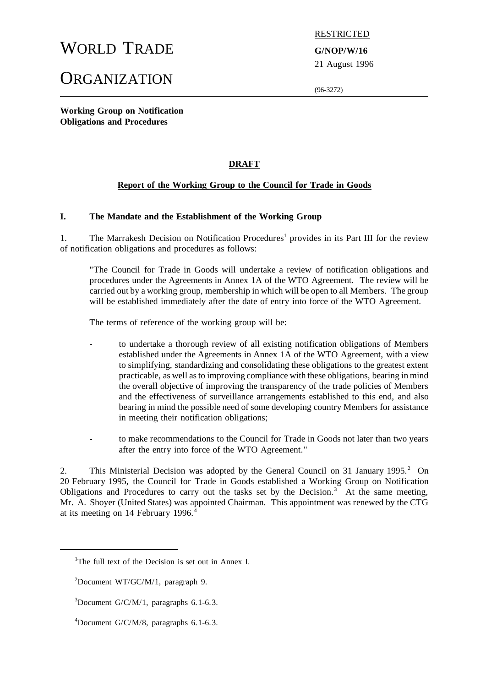# WORLD TRADE **G/NOP/W/16**

# **ORGANIZATION**

RESTRICTED

21 August 1996

(96-3272)

**Working Group on Notification Obligations and Procedures**

# **DRAFT**

# **Report of the Working Group to the Council for Trade in Goods**

#### **I. The Mandate and the Establishment of the Working Group**

1. The Marrakesh Decision on Notification Procedures<sup>1</sup> provides in its Part III for the review of notification obligations and procedures as follows:

"The Council for Trade in Goods will undertake a review of notification obligations and procedures under the Agreements in Annex 1A of the WTO Agreement. The review will be carried out by a working group, membership in which will be open to all Members. The group will be established immediately after the date of entry into force of the WTO Agreement.

The terms of reference of the working group will be:

- to undertake a thorough review of all existing notification obligations of Members established under the Agreements in Annex 1A of the WTO Agreement, with a view to simplifying, standardizing and consolidating these obligations to the greatest extent practicable, as well asto improving compliance with these obligations, bearing in mind the overall objective of improving the transparency of the trade policies of Members and the effectiveness of surveillance arrangements established to this end, and also bearing in mind the possible need of some developing country Members for assistance in meeting their notification obligations;
- to make recommendations to the Council for Trade in Goods not later than two years after the entry into force of the WTO Agreement."

2. This Ministerial Decision was adopted by the General Council on 31 January 1995.<sup>2</sup> On 20 February 1995, the Council for Trade in Goods established a Working Group on Notification Obligations and Procedures to carry out the tasks set by the Decision.<sup>3</sup> At the same meeting, Mr. A. Shoyer (United States) was appointed Chairman. This appointment was renewed by the CTG at its meeting on 14 February 1996.<sup>4</sup>

<sup>&</sup>lt;sup>1</sup>The full text of the Decision is set out in Annex I.

 ${}^{2}$ Document WT/GC/M/1, paragraph 9.

 $3D$ ocument G/C/M/1, paragraphs 6.1-6.3.

<sup>&</sup>lt;sup>4</sup>Document G/C/M/8, paragraphs 6.1-6.3.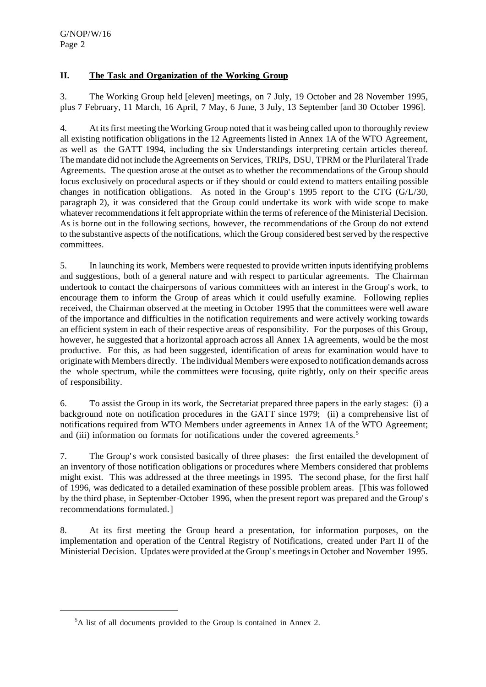# **II. The Task and Organization of the Working Group**

3. The Working Group held [eleven] meetings, on 7 July, 19 October and 28 November 1995, plus 7 February, 11 March, 16 April, 7 May, 6 June, 3 July, 13 September [and 30 October 1996].

4. At itsfirst meeting the Working Group noted that it was being called upon to thoroughly review all existing notification obligations in the 12 Agreements listed in Annex 1A of the WTO Agreement, as well as the GATT 1994, including the six Understandings interpreting certain articles thereof. The mandate did not include the Agreements on Services, TRIPs, DSU, TPRM or the Plurilateral Trade Agreements. The question arose at the outset as to whether the recommendations of the Group should focus exclusively on procedural aspects or if they should or could extend to matters entailing possible changes in notification obligations. As noted in the Group's 1995 report to the CTG (G/L/30, paragraph 2), it was considered that the Group could undertake its work with wide scope to make whatever recommendations it felt appropriate within the terms of reference of the Ministerial Decision. As is borne out in the following sections, however, the recommendations of the Group do not extend to the substantive aspects of the notifications, which the Group considered bestserved by the respective committees.

5. In launching its work, Members were requested to provide written inputsidentifying problems and suggestions, both of a general nature and with respect to particular agreements. The Chairman undertook to contact the chairpersons of various committees with an interest in the Group's work, to encourage them to inform the Group of areas which it could usefully examine. Following replies received, the Chairman observed at the meeting in October 1995 that the committees were well aware of the importance and difficulties in the notification requirements and were actively working towards an efficient system in each of their respective areas of responsibility. For the purposes of this Group, however, he suggested that a horizontal approach across all Annex 1A agreements, would be the most productive. For this, as had been suggested, identification of areas for examination would have to originate with Members directly. The individual Members were exposed to notification demands across the whole spectrum, while the committees were focusing, quite rightly, only on their specific areas of responsibility.

6. To assist the Group in its work, the Secretariat prepared three papers in the early stages: (i) a background note on notification procedures in the GATT since 1979; (ii) a comprehensive list of notifications required from WTO Members under agreements in Annex 1A of the WTO Agreement; and (iii) information on formats for notifications under the covered agreements.<sup>5</sup>

7. The Group's work consisted basically of three phases: the first entailed the development of an inventory of those notification obligations or procedures where Members considered that problems might exist. This was addressed at the three meetings in 1995. The second phase, for the first half of 1996, was dedicated to a detailed examination of these possible problem areas. [This was followed by the third phase, in September-October 1996, when the present report was prepared and the Group's recommendations formulated.]

8. At its first meeting the Group heard a presentation, for information purposes, on the implementation and operation of the Central Registry of Notifications, created under Part II of the Ministerial Decision. Updates were provided at the Group's meetingsin October and November 1995.

<sup>5</sup>A list of all documents provided to the Group is contained in Annex 2.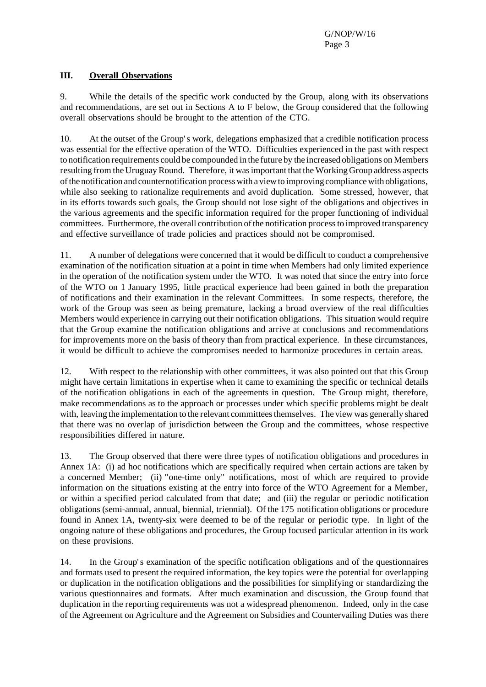#### **III. Overall Observations**

9. While the details of the specific work conducted by the Group, along with its observations and recommendations, are set out in Sections A to F below, the Group considered that the following overall observations should be brought to the attention of the CTG.

10. At the outset of the Group's work, delegations emphasized that a credible notification process was essential for the effective operation of the WTO. Difficulties experienced in the past with respect to notification requirements could be compounded in the future by the increased obligations on Members resulting from the Uruguay Round. Therefore, it was important that the Working Group address aspects ofthe notification and counternotification processwith a viewto improving compliance with obligations, while also seeking to rationalize requirements and avoid duplication. Some stressed, however, that in its efforts towards such goals, the Group should not lose sight of the obligations and objectives in the various agreements and the specific information required for the proper functioning of individual committees. Furthermore, the overall contribution of the notification process to improved transparency and effective surveillance of trade policies and practices should not be compromised.

11. A number of delegations were concerned that it would be difficult to conduct a comprehensive examination of the notification situation at a point in time when Members had only limited experience in the operation of the notification system under the WTO. It was noted that since the entry into force of the WTO on 1 January 1995, little practical experience had been gained in both the preparation of notifications and their examination in the relevant Committees. In some respects, therefore, the work of the Group was seen as being premature, lacking a broad overview of the real difficulties Members would experience in carrying out their notification obligations. This situation would require that the Group examine the notification obligations and arrive at conclusions and recommendations for improvements more on the basis of theory than from practical experience. In these circumstances, it would be difficult to achieve the compromises needed to harmonize procedures in certain areas.

12. With respect to the relationship with other committees, it was also pointed out that this Group might have certain limitations in expertise when it came to examining the specific or technical details of the notification obligations in each of the agreements in question. The Group might, therefore, make recommendations as to the approach or processes under which specific problems might be dealt with, leaving the implementation to the relevant committees themselves. The view was generally shared that there was no overlap of jurisdiction between the Group and the committees, whose respective responsibilities differed in nature.

13. The Group observed that there were three types of notification obligations and procedures in Annex 1A: (i) ad hoc notifications which are specifically required when certain actions are taken by a concerned Member; (ii) "one-time only" notifications, most of which are required to provide information on the situations existing at the entry into force of the WTO Agreement for a Member, or within a specified period calculated from that date; and (iii) the regular or periodic notification obligations (semi-annual, annual, biennial, triennial). Of the 175 notification obligations or procedure found in Annex 1A, twenty-six were deemed to be of the regular or periodic type. In light of the ongoing nature of these obligations and procedures, the Group focused particular attention in its work on these provisions.

14. In the Group's examination of the specific notification obligations and of the questionnaires and formats used to present the required information, the key topics were the potential for overlapping or duplication in the notification obligations and the possibilities for simplifying or standardizing the various questionnaires and formats. After much examination and discussion, the Group found that duplication in the reporting requirements was not a widespread phenomenon. Indeed, only in the case of the Agreement on Agriculture and the Agreement on Subsidies and Countervailing Duties was there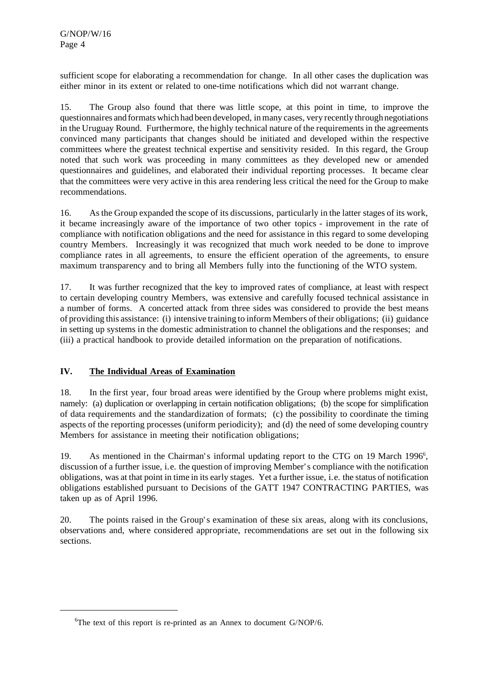sufficient scope for elaborating a recommendation for change. In all other cases the duplication was either minor in its extent or related to one-time notifications which did not warrant change.

15. The Group also found that there was little scope, at this point in time, to improve the questionnaires and formats which had been developed, in many cases, very recently through negotiations in the Uruguay Round. Furthermore, the highly technical nature of the requirements in the agreements convinced many participants that changes should be initiated and developed within the respective committees where the greatest technical expertise and sensitivity resided. In this regard, the Group noted that such work was proceeding in many committees as they developed new or amended questionnaires and guidelines, and elaborated their individual reporting processes. It became clear that the committees were very active in this area rendering less critical the need for the Group to make recommendations.

16. Asthe Group expanded the scope of its discussions, particularly in the latter stages of its work, it became increasingly aware of the importance of two other topics - improvement in the rate of compliance with notification obligations and the need for assistance in this regard to some developing country Members. Increasingly it was recognized that much work needed to be done to improve compliance rates in all agreements, to ensure the efficient operation of the agreements, to ensure maximum transparency and to bring all Members fully into the functioning of the WTO system.

17. It was further recognized that the key to improved rates of compliance, at least with respect to certain developing country Members, was extensive and carefully focused technical assistance in a number of forms. A concerted attack from three sides was considered to provide the best means of providing this assistance: (i) intensive training to inform Members oftheir obligations; (ii) guidance in setting up systems in the domestic administration to channel the obligations and the responses; and (iii) a practical handbook to provide detailed information on the preparation of notifications.

### **IV. The Individual Areas of Examination**

18. In the first year, four broad areas were identified by the Group where problems might exist, namely: (a) duplication or overlapping in certain notification obligations; (b) the scope for simplification of data requirements and the standardization of formats; (c) the possibility to coordinate the timing aspects of the reporting processes (uniform periodicity); and (d) the need of some developing country Members for assistance in meeting their notification obligations;

19. As mentioned in the Chairman's informal updating report to the CTG on 19 March 1996<sup>6</sup>, discussion of a further issue, i.e. the question of improving Member's compliance with the notification obligations, was at that point in time in its early stages. Yet a further issue, i.e. the status of notification obligations established pursuant to Decisions of the GATT 1947 CONTRACTING PARTIES, was taken up as of April 1996.

20. The points raised in the Group's examination of these six areas, along with its conclusions, observations and, where considered appropriate, recommendations are set out in the following six sections.

 ${}^{6}$ The text of this report is re-printed as an Annex to document G/NOP/6.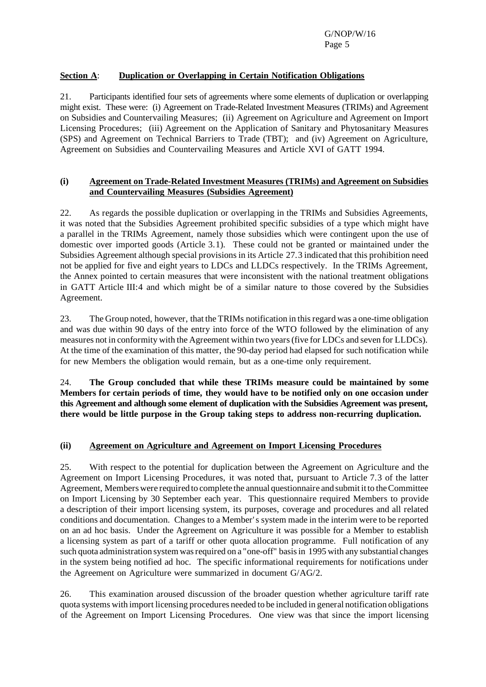# **Section A**: **Duplication or Overlapping in Certain Notification Obligations**

21. Participants identified four sets of agreements where some elements of duplication or overlapping might exist. These were: (i) Agreement on Trade-Related Investment Measures (TRIMs) and Agreement on Subsidies and Countervailing Measures; (ii) Agreement on Agriculture and Agreement on Import Licensing Procedures; (iii) Agreement on the Application of Sanitary and Phytosanitary Measures (SPS) and Agreement on Technical Barriers to Trade (TBT); and (iv) Agreement on Agriculture, Agreement on Subsidies and Countervailing Measures and Article XVI of GATT 1994.

#### **(i) Agreement on Trade-Related Investment Measures (TRIMs) and Agreement on Subsidies and Countervailing Measures (Subsidies Agreement)**

22. As regards the possible duplication or overlapping in the TRIMs and Subsidies Agreements, it was noted that the Subsidies Agreement prohibited specific subsidies of a type which might have a parallel in the TRIMs Agreement, namely those subsidies which were contingent upon the use of domestic over imported goods (Article 3.1). These could not be granted or maintained under the Subsidies Agreement although special provisions in its Article 27.3 indicated that this prohibition need not be applied for five and eight years to LDCs and LLDCs respectively. In the TRIMs Agreement, the Annex pointed to certain measures that were inconsistent with the national treatment obligations in GATT Article III:4 and which might be of a similar nature to those covered by the Subsidies Agreement.

23. The Group noted, however, that the TRIMs notification in thisregard was a one-time obligation and was due within 90 days of the entry into force of the WTO followed by the elimination of any measures not in conformity with the Agreement within two years(five for LDCs and seven for LLDCs). At the time of the examination of this matter, the 90-day period had elapsed for such notification while for new Members the obligation would remain, but as a one-time only requirement.

24. **The Group concluded that while these TRIMs measure could be maintained by some Members for certain periods of time, they would have to be notified only on one occasion under this Agreement and although some element of duplication with the Subsidies Agreement was present, there would be little purpose in the Group taking steps to address non-recurring duplication.**

### **(ii) Agreement on Agriculture and Agreement on Import Licensing Procedures**

25. With respect to the potential for duplication between the Agreement on Agriculture and the Agreement on Import Licensing Procedures, it was noted that, pursuant to Article 7.3 of the latter Agreement, Members were required to complete the annual questionnaire and submit itto theCommittee on Import Licensing by 30 September each year. This questionnaire required Members to provide a description of their import licensing system, its purposes, coverage and procedures and all related conditions and documentation. Changes to a Member's system made in the interim were to be reported on an ad hoc basis. Under the Agreement on Agriculture it was possible for a Member to establish a licensing system as part of a tariff or other quota allocation programme. Full notification of any such quota administration system was required on a "one-off" basis in 1995 with any substantial changes in the system being notified ad hoc. The specific informational requirements for notifications under the Agreement on Agriculture were summarized in document G/AG/2.

26. This examination aroused discussion of the broader question whether agriculture tariff rate quota systems with import licensing procedures needed to be included in general notification obligations of the Agreement on Import Licensing Procedures. One view was that since the import licensing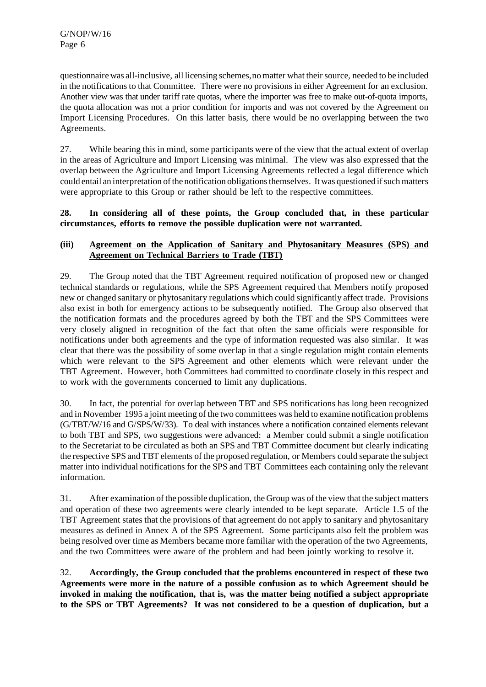questionnaire was all-inclusive, all licensing schemes, no matter what their source, needed to be included in the notifications to that Committee. There were no provisions in either Agreement for an exclusion. Another view was that under tariff rate quotas, where the importer was free to make out-of-quota imports, the quota allocation was not a prior condition for imports and was not covered by the Agreement on Import Licensing Procedures. On this latter basis, there would be no overlapping between the two Agreements.

27. While bearing this in mind, some participants were of the view that the actual extent of overlap in the areas of Agriculture and Import Licensing was minimal. The view was also expressed that the overlap between the Agriculture and Import Licensing Agreements reflected a legal difference which could entail an interpretation of the notification obligations themselves. It was questioned if such matters were appropriate to this Group or rather should be left to the respective committees.

#### **28. In considering all of these points, the Group concluded that, in these particular circumstances, efforts to remove the possible duplication were not warranted.**

### **(iii) Agreement on the Application of Sanitary and Phytosanitary Measures (SPS) and Agreement on Technical Barriers to Trade (TBT)**

29. The Group noted that the TBT Agreement required notification of proposed new or changed technical standards or regulations, while the SPS Agreement required that Members notify proposed new or changed sanitary or phytosanitary regulations which could significantly affect trade. Provisions also exist in both for emergency actions to be subsequently notified. The Group also observed that the notification formats and the procedures agreed by both the TBT and the SPS Committees were very closely aligned in recognition of the fact that often the same officials were responsible for notifications under both agreements and the type of information requested was also similar. It was clear that there was the possibility of some overlap in that a single regulation might contain elements which were relevant to the SPS Agreement and other elements which were relevant under the TBT Agreement. However, both Committees had committed to coordinate closely in this respect and to work with the governments concerned to limit any duplications.

30. In fact, the potential for overlap between TBT and SPS notifications has long been recognized and in November 1995 a joint meeting of the two committees was held to examine notification problems (G/TBT/W/16 and G/SPS/W/33). To deal with instances where a notification contained elements relevant to both TBT and SPS, two suggestions were advanced: a Member could submit a single notification to the Secretariat to be circulated as both an SPS and TBT Committee document but clearly indicating the respective SPS and TBT elements of the proposed regulation, or Members could separate the subject matter into individual notifications for the SPS and TBT Committees each containing only the relevant information.

31. After examination of the possible duplication, the Group was of the view that the subject matters and operation of these two agreements were clearly intended to be kept separate. Article 1.5 of the TBT Agreement states that the provisions of that agreement do not apply to sanitary and phytosanitary measures as defined in Annex A of the SPS Agreement. Some participants also felt the problem was being resolved over time as Members became more familiar with the operation of the two Agreements, and the two Committees were aware of the problem and had been jointly working to resolve it.

32. **Accordingly, the Group concluded that the problems encountered in respect of these two Agreements were more in the nature of a possible confusion as to which Agreement should be invoked in making the notification, that is, was the matter being notified a subject appropriate to the SPS or TBT Agreements? It was not considered to be a question of duplication, but a**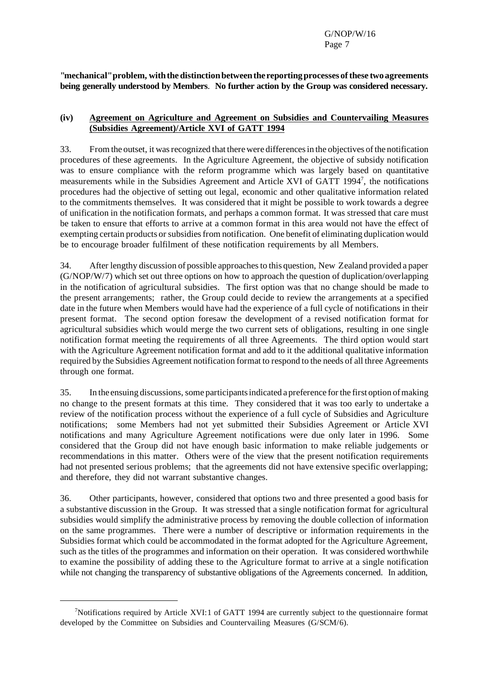**"mechanical"problem,withthe distinctionbetweenthe reportingprocesses ofthese two agreements being generally understood by Members**. **No further action by the Group was considered necessary.**

#### **(iv) Agreement on Agriculture and Agreement on Subsidies and Countervailing Measures (Subsidies Agreement)/Article XVI of GATT 1994**

33. From the outset, it was recognized that there were differences in the objectives of the notification procedures of these agreements. In the Agriculture Agreement, the objective of subsidy notification was to ensure compliance with the reform programme which was largely based on quantitative measurements while in the Subsidies Agreement and Article XVI of GATT 1994<sup>7</sup>, the notifications procedures had the objective of setting out legal, economic and other qualitative information related to the commitments themselves. It was considered that it might be possible to work towards a degree of unification in the notification formats, and perhaps a common format. It was stressed that care must be taken to ensure that efforts to arrive at a common format in this area would not have the effect of exempting certain products or subsidies from notification. One benefit of eliminating duplication would be to encourage broader fulfilment of these notification requirements by all Members.

34. Afterlengthy discussion of possible approachesto this question, New Zealand provided a paper (G/NOP/W/7) which set out three options on how to approach the question of duplication/overlapping in the notification of agricultural subsidies. The first option was that no change should be made to the present arrangements; rather, the Group could decide to review the arrangements at a specified date in the future when Members would have had the experience of a full cycle of notifications in their present format. The second option foresaw the development of a revised notification format for agricultural subsidies which would merge the two current sets of obligations, resulting in one single notification format meeting the requirements of all three Agreements. The third option would start with the Agriculture Agreement notification format and add to it the additional qualitative information required by the Subsidies Agreement notification format to respond to the needs of all three Agreements through one format.

35. In the ensuing discussions, some participants indicated a preference for the first option of making no change to the present formats at this time. They considered that it was too early to undertake a review of the notification process without the experience of a full cycle of Subsidies and Agriculture notifications; some Members had not yet submitted their Subsidies Agreement or Article XVI notifications and many Agriculture Agreement notifications were due only later in 1996. Some considered that the Group did not have enough basic information to make reliable judgements or recommendations in this matter. Others were of the view that the present notification requirements had not presented serious problems; that the agreements did not have extensive specific overlapping; and therefore, they did not warrant substantive changes.

36. Other participants, however, considered that options two and three presented a good basis for a substantive discussion in the Group. It was stressed that a single notification format for agricultural subsidies would simplify the administrative process by removing the double collection of information on the same programmes. There were a number of descriptive or information requirements in the Subsidies format which could be accommodated in the format adopted for the Agriculture Agreement, such as the titles of the programmes and information on their operation. It was considered worthwhile to examine the possibility of adding these to the Agriculture format to arrive at a single notification while not changing the transparency of substantive obligations of the Agreements concerned. In addition,

<sup>7</sup>Notifications required by Article XVI:1 of GATT 1994 are currently subject to the questionnaire format developed by the Committee on Subsidies and Countervailing Measures (G/SCM/6).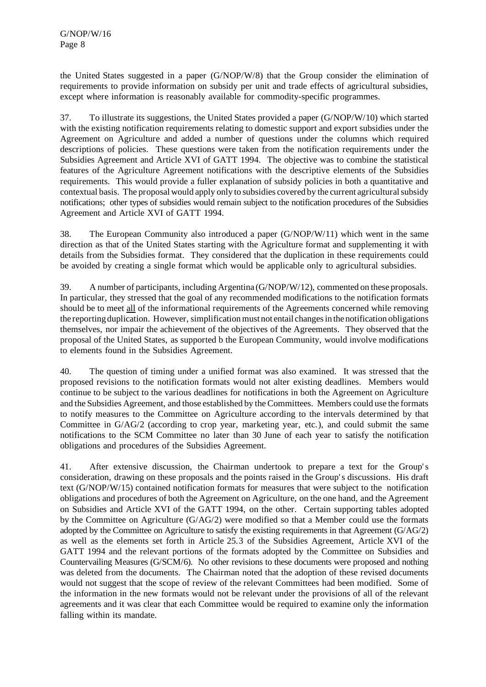the United States suggested in a paper (G/NOP/W/8) that the Group consider the elimination of requirements to provide information on subsidy per unit and trade effects of agricultural subsidies, except where information is reasonably available for commodity-specific programmes.

37. To illustrate its suggestions, the United States provided a paper (G/NOP/W/10) which started with the existing notification requirements relating to domestic support and export subsidies under the Agreement on Agriculture and added a number of questions under the columns which required descriptions of policies. These questions were taken from the notification requirements under the Subsidies Agreement and Article XVI of GATT 1994. The objective was to combine the statistical features of the Agriculture Agreement notifications with the descriptive elements of the Subsidies requirements. This would provide a fuller explanation of subsidy policies in both a quantitative and contextual basis. The proposal would apply only to subsidies covered by the current agriculturalsubsidy notifications; other types of subsidies would remain subject to the notification procedures of the Subsidies Agreement and Article XVI of GATT 1994.

38. The European Community also introduced a paper (G/NOP/W/11) which went in the same direction as that of the United States starting with the Agriculture format and supplementing it with details from the Subsidies format. They considered that the duplication in these requirements could be avoided by creating a single format which would be applicable only to agricultural subsidies.

39. A number of participants, including Argentina (G/NOP/W/12), commented on these proposals. In particular, they stressed that the goal of any recommended modifications to the notification formats should be to meet all of the informational requirements of the Agreements concerned while removing the reporting duplication. However, simplification must not entail changes in the notification obligations themselves, nor impair the achievement of the objectives of the Agreements. They observed that the proposal of the United States, as supported b the European Community, would involve modifications to elements found in the Subsidies Agreement.

40. The question of timing under a unified format was also examined. It was stressed that the proposed revisions to the notification formats would not alter existing deadlines. Members would continue to be subject to the various deadlines for notifications in both the Agreement on Agriculture and the Subsidies Agreement, and those established by the Committees. Members could use the formats to notify measures to the Committee on Agriculture according to the intervals determined by that Committee in G/AG/2 (according to crop year, marketing year, etc.), and could submit the same notifications to the SCM Committee no later than 30 June of each year to satisfy the notification obligations and procedures of the Subsidies Agreement.

41. After extensive discussion, the Chairman undertook to prepare a text for the Group's consideration, drawing on these proposals and the points raised in the Group's discussions. His draft text (G/NOP/W/15) contained notification formats for measures that were subject to the notification obligations and procedures of both the Agreement on Agriculture, on the one hand, and the Agreement on Subsidies and Article XVI of the GATT 1994, on the other. Certain supporting tables adopted by the Committee on Agriculture (G/AG/2) were modified so that a Member could use the formats adopted by the Committee on Agriculture to satisfy the existing requirements in that Agreement (G/AG/2) as well as the elements set forth in Article 25.3 of the Subsidies Agreement, Article XVI of the GATT 1994 and the relevant portions of the formats adopted by the Committee on Subsidies and Countervailing Measures (G/SCM/6). No other revisions to these documents were proposed and nothing was deleted from the documents. The Chairman noted that the adoption of these revised documents would not suggest that the scope of review of the relevant Committees had been modified. Some of the information in the new formats would not be relevant under the provisions of all of the relevant agreements and it was clear that each Committee would be required to examine only the information falling within its mandate.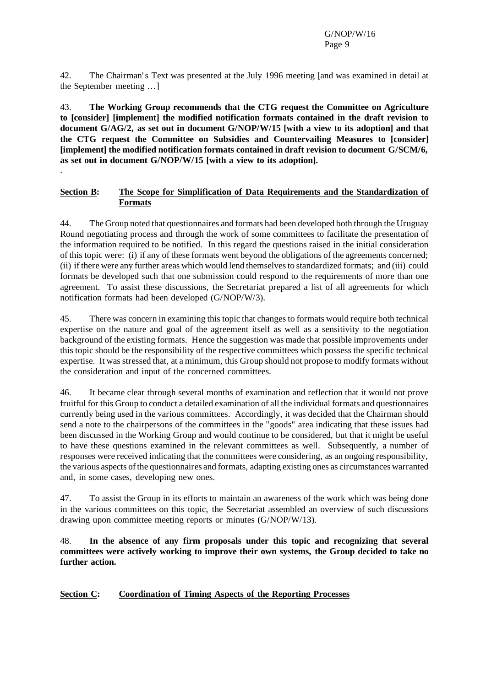42. The Chairman's Text was presented at the July 1996 meeting [and was examined in detail at the September meeting ...]

43. **The Working Group recommends that the CTG request the Committee on Agriculture to [consider] [implement] the modified notification formats contained in the draft revision to document G/AG/2, as set out in document G/NOP/W/15 [with a view to its adoption] and that the CTG request the Committee on Subsidies and Countervailing Measures to [consider] [implement] the modified notification formats contained in draft revision to document G/SCM/6, as set out in document G/NOP/W/15 [with a view to its adoption].**

#### **Section B: The Scope for Simplification of Data Requirements and the Standardization of Formats**

.

44. The Group noted that questionnaires and formats had been developed both through the Uruguay Round negotiating process and through the work of some committees to facilitate the presentation of the information required to be notified. In this regard the questions raised in the initial consideration of this topic were: (i) if any of these formats went beyond the obligations of the agreements concerned; (ii) if there were any further areas which would lend themselvesto standardized formats; and (iii) could formats be developed such that one submission could respond to the requirements of more than one agreement. To assist these discussions, the Secretariat prepared a list of all agreements for which notification formats had been developed (G/NOP/W/3).

45. There was concern in examining thistopic that changes to formats would require both technical expertise on the nature and goal of the agreement itself as well as a sensitivity to the negotiation background of the existing formats. Hence the suggestion was made that possible improvements under this topic should be the responsibility of the respective committees which possess the specific technical expertise. It was stressed that, at a minimum, this Group should not propose to modify formats without the consideration and input of the concerned committees.

46. It became clear through several months of examination and reflection that it would not prove fruitful for this Group to conduct a detailed examination of all the individual formats and questionnaires currently being used in the various committees. Accordingly, it was decided that the Chairman should send a note to the chairpersons of the committees in the "goods" area indicating that these issues had been discussed in the Working Group and would continue to be considered, but that it might be useful to have these questions examined in the relevant committees as well. Subsequently, a number of responses were received indicating that the committees were considering, as an ongoing responsibility, the various aspects ofthe questionnaires and formats, adapting existing ones as circumstances warranted and, in some cases, developing new ones.

47. To assist the Group in its efforts to maintain an awareness of the work which was being done in the various committees on this topic, the Secretariat assembled an overview of such discussions drawing upon committee meeting reports or minutes (G/NOP/W/13).

48. **In the absence of any firm proposals under this topic and recognizing that several committees were actively working to improve their own systems, the Group decided to take no further action.**

#### **Section C: Coordination of Timing Aspects of the Reporting Processes**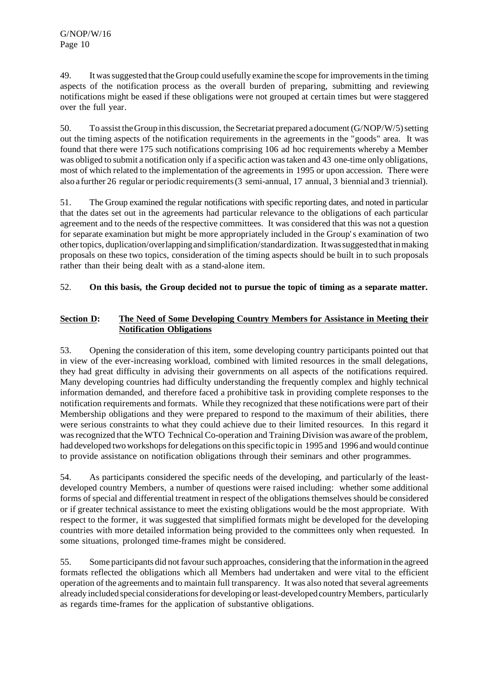49. It wassuggested that the Group could usefully examine the scope forimprovementsin the timing aspects of the notification process as the overall burden of preparing, submitting and reviewing notifications might be eased if these obligations were not grouped at certain times but were staggered over the full year.

50. To assist the Group in this discussion, the Secretariat prepared a document  $(G/NOP/W/5)$  setting out the timing aspects of the notification requirements in the agreements in the "goods" area. It was found that there were 175 such notifications comprising 106 ad hoc requirements whereby a Member was obliged to submit a notification only if a specific action wastaken and 43 one-time only obligations, most of which related to the implementation of the agreements in 1995 or upon accession. There were also a further 26 regularor periodic requirements(3 semi-annual, 17 annual, 3 biennial and3 triennial).

51. The Group examined the regular notifications with specific reporting dates, and noted in particular that the dates set out in the agreements had particular relevance to the obligations of each particular agreement and to the needs of the respective committees. It was considered that this was not a question for separate examination but might be more appropriately included in the Group's examination of two othertopics,duplication/overlappingand simplification/standardization. Itwassuggestedthatinmaking proposals on these two topics, consideration of the timing aspects should be built in to such proposals rather than their being dealt with as a stand-alone item.

### 52. **On this basis, the Group decided not to pursue the topic of timing as a separate matter.**

# **Section D: The Need of Some Developing Country Members for Assistance in Meeting their Notification Obligations**

53. Opening the consideration of this item, some developing country participants pointed out that in view of the ever-increasing workload, combined with limited resources in the small delegations, they had great difficulty in advising their governments on all aspects of the notifications required. Many developing countries had difficulty understanding the frequently complex and highly technical information demanded, and therefore faced a prohibitive task in providing complete responses to the notification requirements and formats. While they recognized that these notifications were part of their Membership obligations and they were prepared to respond to the maximum of their abilities, there were serious constraints to what they could achieve due to their limited resources. In this regard it was recognized that the WTO Technical Co-operation and Training Division was aware of the problem, had developed two workshops for delegations on this specific topic in 1995 and 1996 and would continue to provide assistance on notification obligations through their seminars and other programmes.

54. As participants considered the specific needs of the developing, and particularly of the leastdeveloped country Members, a number of questions were raised including: whether some additional forms of special and differential treatment in respect of the obligations themselves should be considered or if greater technical assistance to meet the existing obligations would be the most appropriate. With respect to the former, it was suggested that simplified formats might be developed for the developing countries with more detailed information being provided to the committees only when requested. In some situations, prolonged time-frames might be considered.

55. Some participants did not favour such approaches, considering that the information in the agreed formats reflected the obligations which all Members had undertaken and were vital to the efficient operation of the agreements and to maintain full transparency. It was also noted thatseveral agreements already included special considerations for developing or least-developed country Members, particularly as regards time-frames for the application of substantive obligations.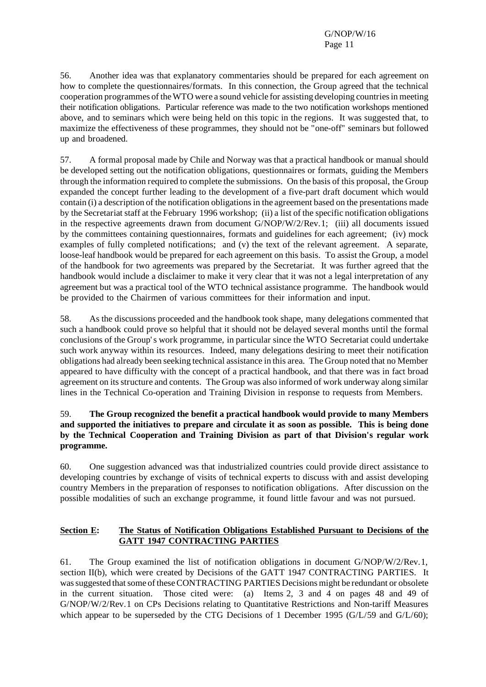56. Another idea was that explanatory commentaries should be prepared for each agreement on how to complete the questionnaires/formats. In this connection, the Group agreed that the technical cooperation programmes of theWTO were a sound vehicle for assisting developing countriesin meeting their notification obligations. Particular reference was made to the two notification workshops mentioned above, and to seminars which were being held on this topic in the regions. It was suggested that, to maximize the effectiveness of these programmes, they should not be "one-off" seminars but followed up and broadened.

57. A formal proposal made by Chile and Norway was that a practical handbook or manual should be developed setting out the notification obligations, questionnaires or formats, guiding the Members through the information required to complete the submissions. On the basis of this proposal, the Group expanded the concept further leading to the development of a five-part draft document which would contain (i) a description of the notification obligations in the agreement based on the presentations made by the Secretariat staff at the February 1996 workshop; (ii) a list of the specific notification obligations in the respective agreements drawn from document G/NOP/W/2/Rev.1; (iii) all documents issued by the committees containing questionnaires, formats and guidelines for each agreement; (iv) mock examples of fully completed notifications; and (v) the text of the relevant agreement. A separate, loose-leaf handbook would be prepared for each agreement on this basis. To assist the Group, a model of the handbook for two agreements was prepared by the Secretariat. It was further agreed that the handbook would include a disclaimer to make it very clear that it was not a legal interpretation of any agreement but was a practical tool of the WTO technical assistance programme. The handbook would be provided to the Chairmen of various committees for their information and input.

58. As the discussions proceeded and the handbook took shape, many delegations commented that such a handbook could prove so helpful that it should not be delayed several months until the formal conclusions of the Group's work programme, in particular since the WTO Secretariat could undertake such work anyway within its resources. Indeed, many delegations desiring to meet their notification obligations had already been seeking technical assistance in this area. The Group noted that no Member appeared to have difficulty with the concept of a practical handbook, and that there was in fact broad agreement on its structure and contents. The Group was also informed of work underway along similar lines in the Technical Co-operation and Training Division in response to requests from Members.

### 59. **The Group recognized the benefit a practical handbook would provide to many Members and supported the initiatives to prepare and circulate it as soon as possible. This is being done by the Technical Cooperation and Training Division as part of that Division's regular work programme.**

60. One suggestion advanced was that industrialized countries could provide direct assistance to developing countries by exchange of visits of technical experts to discuss with and assist developing country Members in the preparation of responses to notification obligations. After discussion on the possible modalities of such an exchange programme, it found little favour and was not pursued.

#### **Section E: The Status of Notification Obligations Established Pursuant to Decisions of the GATT 1947 CONTRACTING PARTIES**

61. The Group examined the list of notification obligations in document G/NOP/W/2/Rev.1, section II(b), which were created by Decisions of the GATT 1947 CONTRACTING PARTIES. It was suggested that some of these CONTRACTING PARTIES Decisions might be redundant or obsolete in the current situation. Those cited were: (a) Items 2, 3 and 4 on pages 48 and 49 of G/NOP/W/2/Rev.1 on CPs Decisions relating to Quantitative Restrictions and Non-tariff Measures which appear to be superseded by the CTG Decisions of 1 December 1995 (G/L/59 and G/L/60);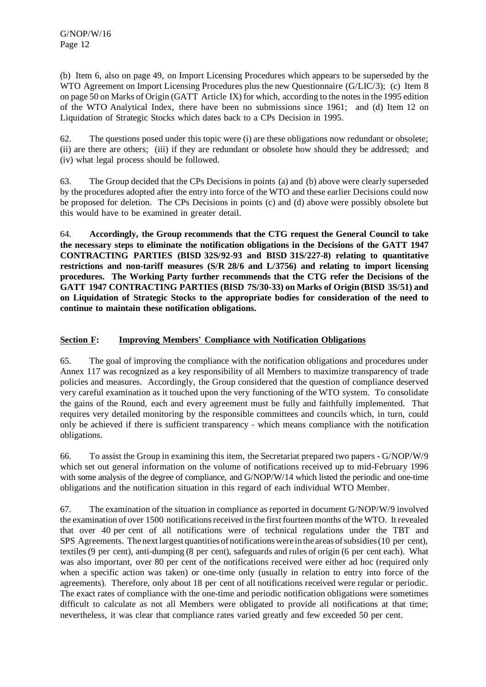(b) Item 6, also on page 49, on Import Licensing Procedures which appears to be superseded by the WTO Agreement on Import Licensing Procedures plus the new Questionnaire (G/LIC/3); (c) Item 8 on page 50 on Marks of Origin (GATT Article IX) for which, according to the notesin the 1995 edition of the WTO Analytical Index, there have been no submissions since 1961; and (d) Item 12 on Liquidation of Strategic Stocks which dates back to a CPs Decision in 1995.

62. The questions posed under this topic were (i) are these obligations now redundant or obsolete; (ii) are there are others; (iii) if they are redundant or obsolete how should they be addressed; and (iv) what legal process should be followed.

63. The Group decided that the CPs Decisions in points (a) and (b) above were clearly superseded by the procedures adopted after the entry into force of the WTO and these earlier Decisions could now be proposed for deletion. The CPs Decisions in points (c) and (d) above were possibly obsolete but this would have to be examined in greater detail.

64. **Accordingly, the Group recommends that the CTG request the General Council to take the necessary steps to eliminate the notification obligations in the Decisions of the GATT 1947 CONTRACTING PARTIES (BISD 32S/92-93 and BISD 31S/227-8) relating to quantitative restrictions and non-tariff measures (S/R 28/6 and L/3756) and relating to import licensing procedures. The Working Party further recommends that the CTG refer the Decisions of the GATT 1947 CONTRACTING PARTIES (BISD 7S/30-33) on Marks of Origin (BISD 3S/51) and on Liquidation of Strategic Stocks to the appropriate bodies for consideration of the need to continue to maintain these notification obligations.**

# **Section F: Improving Members' Compliance with Notification Obligations**

65. The goal of improving the compliance with the notification obligations and procedures under Annex 117 was recognized as a key responsibility of all Members to maximize transparency of trade policies and measures. Accordingly, the Group considered that the question of compliance deserved very careful examination as it touched upon the very functioning of the WTO system. To consolidate the gains of the Round, each and every agreement must be fully and faithfully implemented. That requires very detailed monitoring by the responsible committees and councils which, in turn, could only be achieved if there is sufficient transparency - which means compliance with the notification obligations.

66. To assist the Group in examining this item, the Secretariat prepared two papers - G/NOP/W/9 which set out general information on the volume of notifications received up to mid-February 1996 with some analysis of the degree of compliance, and G/NOP/W/14 which listed the periodic and one-time obligations and the notification situation in this regard of each individual WTO Member.

67. The examination of the situation in compliance as reported in document G/NOP/W/9 involved the examination of over 1500 notifications received in the first fourteen months of the WTO. It revealed that over 40 per cent of all notifications were of technical regulations under the TBT and SPS Agreements. The next largest quantities of notifications were in the areas of subsidies (10 per cent), textiles(9 per cent), anti-dumping (8 per cent), safeguards and rules of origin (6 per cent each). What was also important, over 80 per cent of the notifications received were either ad hoc (required only when a specific action was taken) or one-time only (usually in relation to entry into force of the agreements). Therefore, only about 18 per cent of all notifications received were regular or periodic. The exact rates of compliance with the one-time and periodic notification obligations were sometimes difficult to calculate as not all Members were obligated to provide all notifications at that time; nevertheless, it was clear that compliance rates varied greatly and few exceeded 50 per cent.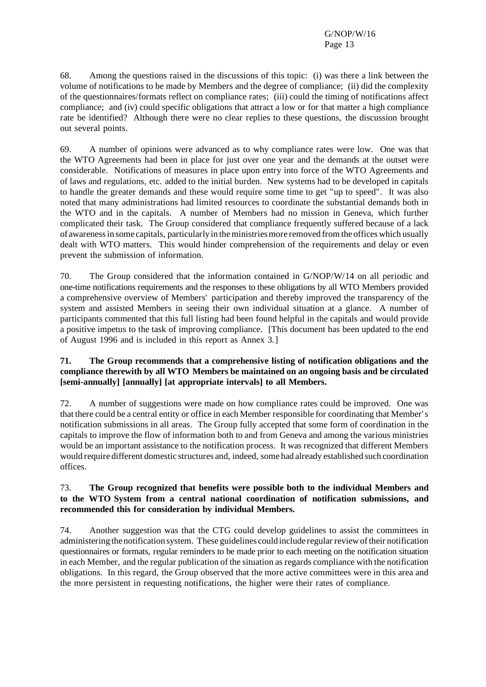68. Among the questions raised in the discussions of this topic: (i) was there a link between the volume of notifications to be made by Members and the degree of compliance; (ii) did the complexity of the questionnaires/formats reflect on compliance rates; (iii) could the timing of notifications affect compliance; and (iv) could specific obligations that attract a low or for that matter a high compliance rate be identified? Although there were no clear replies to these questions, the discussion brought out several points.

69. A number of opinions were advanced as to why compliance rates were low. One was that the WTO Agreements had been in place for just over one year and the demands at the outset were considerable. Notifications of measures in place upon entry into force of the WTO Agreements and of laws and regulations, etc. added to the initial burden. New systems had to be developed in capitals to handle the greater demands and these would require some time to get "up to speed". It was also noted that many administrations had limited resources to coordinate the substantial demands both in the WTO and in the capitals. A number of Members had no mission in Geneva, which further complicated their task. The Group considered that compliance frequently suffered because of a lack of awarenessin some capitals, particularly in theministriesmore removed fromthe offices which usually dealt with WTO matters. This would hinder comprehension of the requirements and delay or even prevent the submission of information.

70. The Group considered that the information contained in G/NOP/W/14 on all periodic and one-time notifications requirements and the responses to these obligations by all WTO Members provided a comprehensive overview of Members' participation and thereby improved the transparency of the system and assisted Members in seeing their own individual situation at a glance. A number of participants commented that this full listing had been found helpful in the capitals and would provide a positive impetus to the task of improving compliance. [This document has been updated to the end of August 1996 and is included in this report as Annex 3.]

#### **71. The Group recommends that a comprehensive listing of notification obligations and the compliance therewith by all WTO Members be maintained on an ongoing basis and be circulated [semi-annually] [annually] [at appropriate intervals] to all Members.**

72. A number of suggestions were made on how compliance rates could be improved. One was that there could be a central entity or office in each Member responsible for coordinating that Member's notification submissions in all areas. The Group fully accepted that some form of coordination in the capitals to improve the flow of information both to and from Geneva and among the various ministries would be an important assistance to the notification process. It was recognized that different Members would require different domestic structures and, indeed, some had already established such coordination offices.

#### 73. **The Group recognized that benefits were possible both to the individual Members and to the WTO System from a central national coordination of notification submissions, and recommended this for consideration by individual Members.**

74. Another suggestion was that the CTG could develop guidelines to assist the committees in administering the notification system. These guidelines could include regularreviewoftheir notification questionnaires or formats, regular reminders to be made prior to each meeting on the notification situation in each Member, and the regular publication of the situation asregards compliance with the notification obligations. In this regard, the Group observed that the more active committees were in this area and the more persistent in requesting notifications, the higher were their rates of compliance.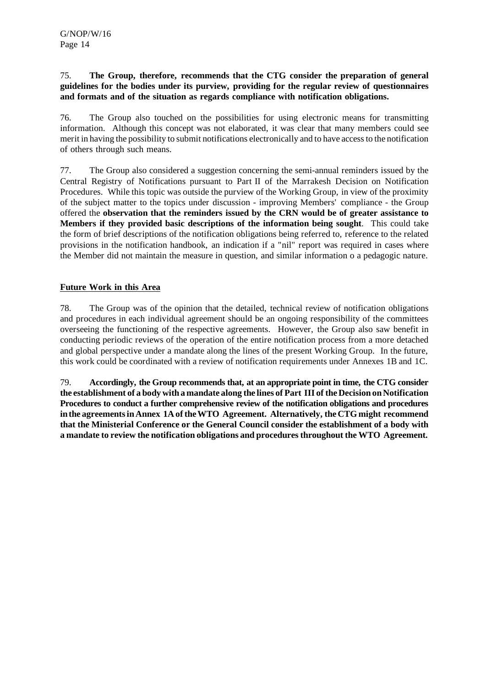#### 75. **The Group, therefore, recommends that the CTG consider the preparation of general guidelines for the bodies under its purview, providing for the regular review of questionnaires and formats and of the situation as regards compliance with notification obligations.**

76. The Group also touched on the possibilities for using electronic means for transmitting information. Although this concept was not elaborated, it was clear that many members could see merit in having the possibility to submit notifications electronically and to have accessto the notification of others through such means.

77. The Group also considered a suggestion concerning the semi-annual reminders issued by the Central Registry of Notifications pursuant to Part II of the Marrakesh Decision on Notification Procedures. While this topic was outside the purview of the Working Group, in view of the proximity of the subject matter to the topics under discussion - improving Members' compliance - the Group offered the **observation that the reminders issued by the CRN would be of greater assistance to Members if they provided basic descriptions of the information being sought**. This could take the form of brief descriptions of the notification obligations being referred to, reference to the related provisions in the notification handbook, an indication if a "nil" report was required in cases where the Member did not maintain the measure in question, and similar information o a pedagogic nature.

### **Future Work in this Area**

78. The Group was of the opinion that the detailed, technical review of notification obligations and procedures in each individual agreement should be an ongoing responsibility of the committees overseeing the functioning of the respective agreements. However, the Group also saw benefit in conducting periodic reviews of the operation of the entire notification process from a more detached and global perspective under a mandate along the lines of the present Working Group. In the future, this work could be coordinated with a review of notification requirements under Annexes 1B and 1C.

79. **Accordingly, the Group recommends that, at an appropriate point in time, the CTG consider the establishment of a body with a mandate along the lines ofPart III ofthe Decision on Notification Procedures to conduct a further comprehensive review of the notification obligations and procedures inthe agreementsin Annex 1A oftheWTO Agreement. Alternatively,the CTG might recommend that the Ministerial Conference or the General Council consider the establishment of a body with a mandate to review the notification obligations and procedures throughout the WTO Agreement.**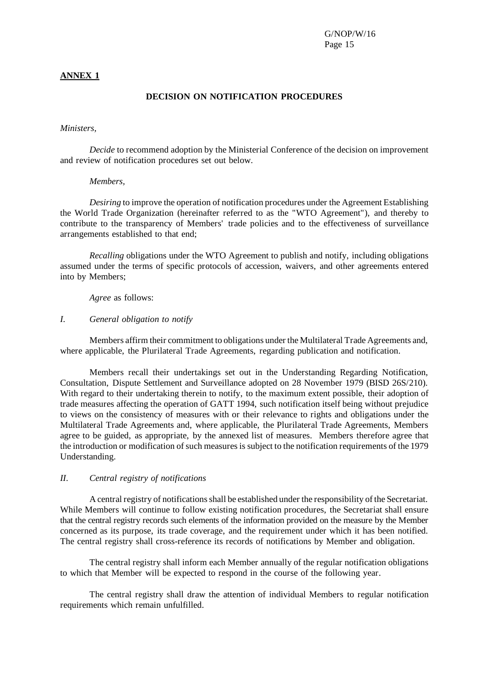#### **ANNEX 1**

#### **DECISION ON NOTIFICATION PROCEDURES**

#### *Ministers,*

*Decide* to recommend adoption by the Ministerial Conference of the decision on improvement and review of notification procedures set out below.

#### *Members,*

*Desiring* to improve the operation of notification procedures under the Agreement Establishing the World Trade Organization (hereinafter referred to as the "WTO Agreement"), and thereby to contribute to the transparency of Members' trade policies and to the effectiveness of surveillance arrangements established to that end;

*Recalling* obligations under the WTO Agreement to publish and notify, including obligations assumed under the terms of specific protocols of accession, waivers, and other agreements entered into by Members;

*Agree* as follows:

#### *I*. *General obligation to notify*

Members affirm their commitment to obligations underthe Multilateral Trade Agreements and, where applicable, the Plurilateral Trade Agreements, regarding publication and notification.

Members recall their undertakings set out in the Understanding Regarding Notification, Consultation, Dispute Settlement and Surveillance adopted on 28 November 1979 (BISD 26S/210). With regard to their undertaking therein to notify, to the maximum extent possible, their adoption of trade measures affecting the operation of GATT 1994, such notification itself being without prejudice to views on the consistency of measures with or their relevance to rights and obligations under the Multilateral Trade Agreements and, where applicable, the Plurilateral Trade Agreements, Members agree to be guided, as appropriate, by the annexed list of measures. Members therefore agree that the introduction or modification of such measures is subject to the notification requirements of the 1979 Understanding.

#### *II*. *Central registry of notifications*

A central registry of notifications shall be established under the responsibility of the Secretariat. While Members will continue to follow existing notification procedures, the Secretariat shall ensure that the central registry records such elements of the information provided on the measure by the Member concerned as its purpose, its trade coverage, and the requirement under which it has been notified. The central registry shall cross-reference its records of notifications by Member and obligation.

The central registry shall inform each Member annually of the regular notification obligations to which that Member will be expected to respond in the course of the following year.

The central registry shall draw the attention of individual Members to regular notification requirements which remain unfulfilled.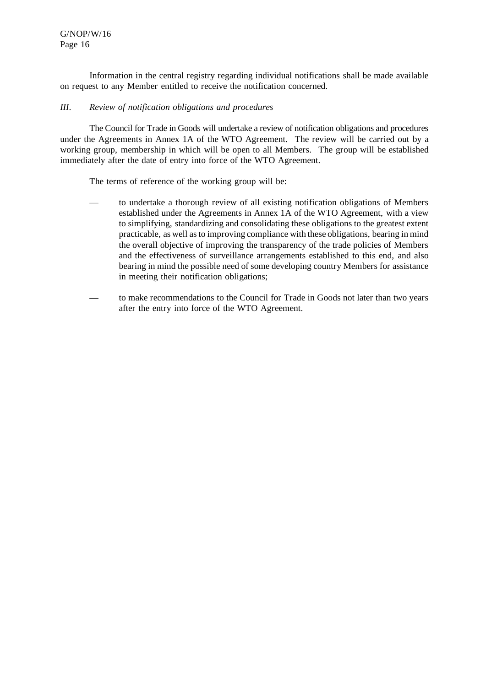Information in the central registry regarding individual notifications shall be made available on request to any Member entitled to receive the notification concerned.

#### *III*. *Review of notification obligations and procedures*

The Council for Trade in Goods will undertake a review of notification obligations and procedures under the Agreements in Annex 1A of the WTO Agreement. The review will be carried out by a working group, membership in which will be open to all Members. The group will be established immediately after the date of entry into force of the WTO Agreement.

The terms of reference of the working group will be:

- to undertake a thorough review of all existing notification obligations of Members established under the Agreements in Annex 1A of the WTO Agreement, with a view to simplifying, standardizing and consolidating these obligations to the greatest extent practicable, as well asto improving compliance with these obligations, bearing in mind the overall objective of improving the transparency of the trade policies of Members and the effectiveness of surveillance arrangements established to this end, and also bearing in mind the possible need of some developing country Members for assistance in meeting their notification obligations;
- to make recommendations to the Council for Trade in Goods not later than two years after the entry into force of the WTO Agreement.